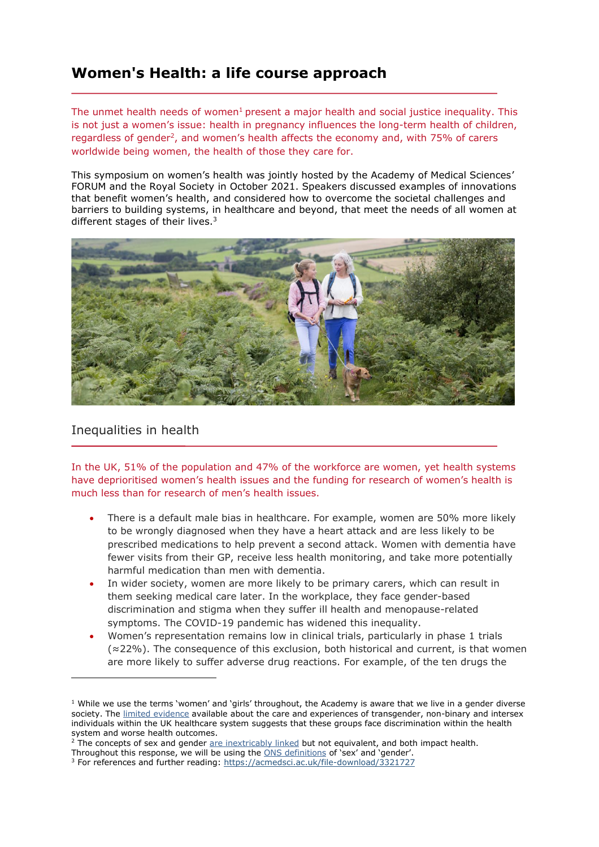## **Women's Health: a life course approach**

The unmet health needs of women<sup>1</sup> present a major health and social justice inequality. This is not just a women's issue: health in pregnancy influences the long-term health of children, regardless of gender<sup>2</sup>, and women's health affects the economy and, with 75% of carers worldwide being women, the health of those they care for.

This symposium on women's health was jointly hosted by the Academy of Medical Sciences' FORUM and the Royal Society in October 2021. Speakers discussed examples of innovations that benefit women's health, and considered how to overcome the societal challenges and barriers to building systems, in healthcare and beyond, that meet the needs of all women at different stages of their lives.<sup>3</sup>



## Inequalities in health

In the UK, 51% of the population and 47% of the workforce are women, yet health systems have deprioritised women's health issues and the funding for research of women's health is much less than for research of men's health issues.

- There is a default male bias in healthcare. For example, women are 50% more likely to be wrongly diagnosed when they have a heart attack and are less likely to be prescribed medications to help prevent a second attack. Women with dementia have fewer visits from their GP, receive less health monitoring, and take more potentially harmful medication than men with dementia.
- In wider society, women are more likely to be primary carers, which can result in them seeking medical care later. In the workplace, they face gender-based discrimination and stigma when they suffer ill health and menopause-related symptoms. The COVID-19 pandemic has widened this inequality.
- Women's representation remains low in clinical trials, particularly in phase 1 trials (≈22%). The consequence of this exclusion, both historical and current, is that women are more likely to suffer adverse drug reactions. For example, of the ten drugs the

 $1$  While we use the terms 'women' and 'girls' throughout, the Academy is aware that we live in a gender diverse society. The [limited evidence](https://www.scottishtrans.org/wp-content/uploads/2016/11/Non-binary-GIC-mini-report.pdf) available about the care and experiences of transgender, non-binary and intersex individuals within the UK healthcare system suggests that these groups face discrimination within the health system and worse health outcomes.

 $2$  The concepts of sex and gender [are inextricably linked](https://stanmed.stanford.edu/2017spring/how-sex-and-gender-which-are-not-the-same-thing-influence-our-health.html) but not equivalent, and both impact health.

Throughout this response, we will be using the [ONS definitions](https://www.ons.gov.uk/economy/environmentalaccounts/articles/whatisthedifferencebetweensexandgender/2019-02-21) of 'sex' and 'gender'. <sup>3</sup> For references and further reading:<https://acmedsci.ac.uk/file-download/3321727>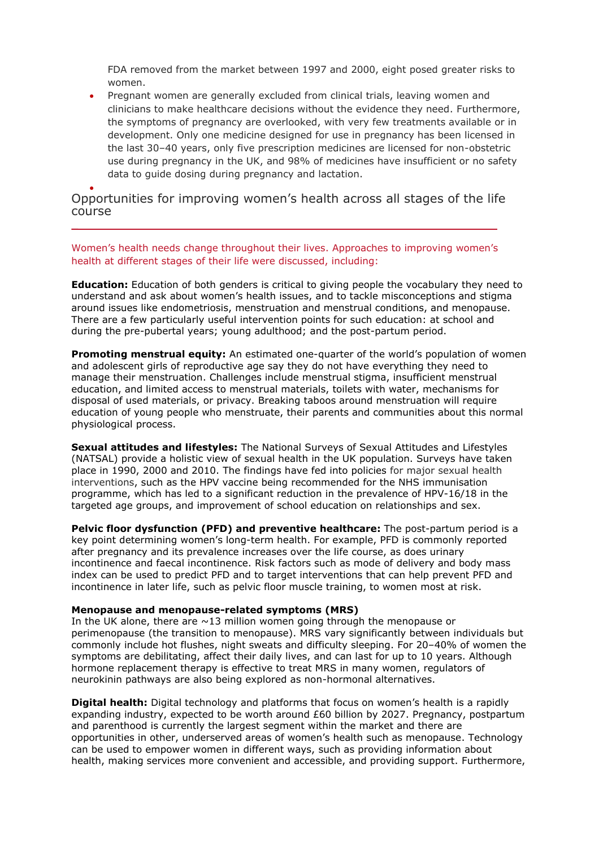FDA removed from the market between 1997 and 2000, eight posed greater risks to women.

• Pregnant women are generally excluded from clinical trials, leaving women and clinicians to make healthcare decisions without the evidence they need. Furthermore, the symptoms of pregnancy are overlooked, with very few treatments available or in development. Only one medicine designed for use in pregnancy has been licensed in the last 30–40 years, only five prescription medicines are licensed for non-obstetric use during pregnancy in the UK, and 98% of medicines have insufficient or no safety data to guide dosing during pregnancy and lactation.

## • Opportunities for improving women's health across all stages of the life course

Women's health needs change throughout their lives. Approaches to improving women's health at different stages of their life were discussed, including:

**Education:** Education of both genders is critical to giving people the vocabulary they need to understand and ask about women's health issues, and to tackle misconceptions and stigma around issues like endometriosis, menstruation and menstrual conditions, and menopause. There are a few particularly useful intervention points for such education: at school and during the pre-pubertal years; young adulthood; and the post-partum period.

**Promoting menstrual equity:** An estimated one-quarter of the world's population of women and adolescent girls of reproductive age say they do not have everything they need to manage their menstruation. Challenges include menstrual stigma, insufficient menstrual education, and limited access to menstrual materials, toilets with water, mechanisms for disposal of used materials, or privacy. Breaking taboos around menstruation will require education of young people who menstruate, their parents and communities about this normal physiological process.

**Sexual attitudes and lifestyles:** The National Surveys of Sexual Attitudes and Lifestyles (NATSAL) provide a holistic view of sexual health in the UK population. Surveys have taken place in 1990, 2000 and 2010. The findings have fed into policies for major sexual health interventions, such as the HPV vaccine being recommended for the NHS immunisation programme, which has led to a significant reduction in the prevalence of HPV-16/18 in the targeted age groups, and improvement of school education on relationships and sex.

**Pelvic floor dysfunction (PFD) and preventive healthcare:** The post-partum period is a key point determining women's long-term health. For example, PFD is commonly reported after pregnancy and its prevalence increases over the life course, as does urinary incontinence and faecal incontinence. Risk factors such as mode of delivery and body mass index can be used to predict PFD and to target interventions that can help prevent PFD and incontinence in later life, such as pelvic floor muscle training, to women most at risk.

## **Menopause and menopause-related symptoms (MRS)**

In the UK alone, there are  $\sim$  13 million women going through the menopause or perimenopause (the transition to menopause). MRS vary significantly between individuals but commonly include hot flushes, night sweats and difficulty sleeping. For 20–40% of women the symptoms are debilitating, affect their daily lives, and can last for up to 10 years. Although hormone replacement therapy is effective to treat MRS in many women, regulators of neurokinin pathways are also being explored as non-hormonal alternatives.

**Digital health:** Digital technology and platforms that focus on women's health is a rapidly expanding industry, expected to be worth around £60 billion by 2027. Pregnancy, postpartum and parenthood is currently the largest segment within the market and there are opportunities in other, underserved areas of women's health such as menopause. Technology can be used to empower women in different ways, such as providing information about health, making services more convenient and accessible, and providing support. Furthermore,